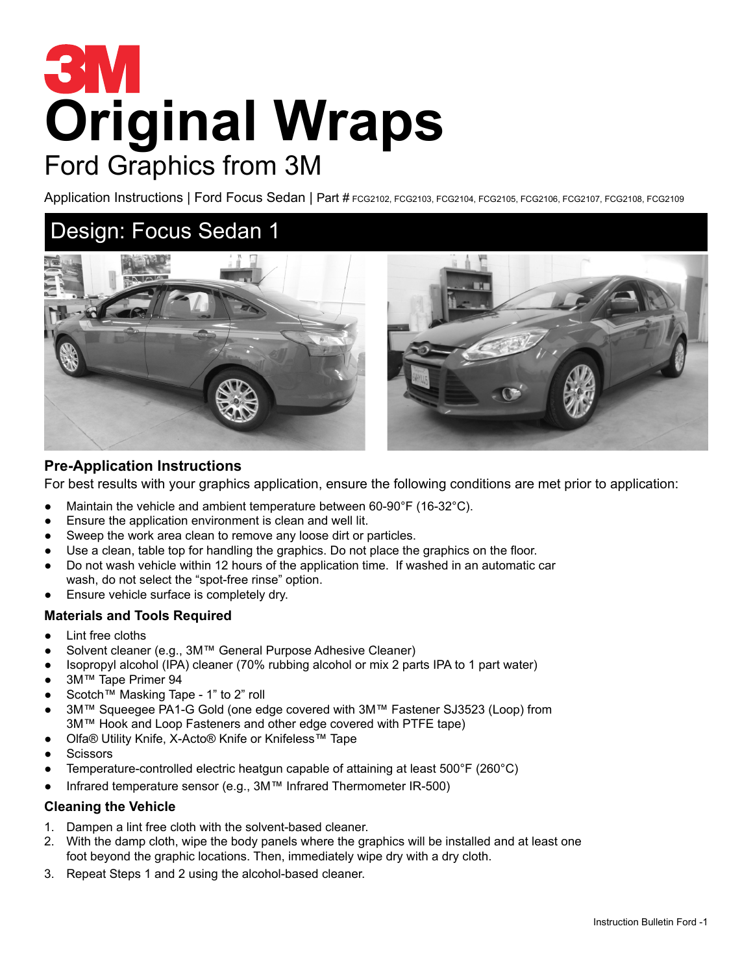# **Original Wraps** Ford Graphics from 3M

Application Instructions | Ford Focus Sedan | Part # FCG2102, FCG2103, FCG2104, FCG2105, FCG2106, FCG2108, FCG2108, FCG2109

## Design: Focus Sedan 1



#### **Pre-Application Instructions**

For best results with your graphics application, ensure the following conditions are met prior to application:

- Maintain the vehicle and ambient temperature between 60-90°F (16-32°C).
- Ensure the application environment is clean and well lit.
- Sweep the work area clean to remove any loose dirt or particles.
- Use a clean, table top for handling the graphics. Do not place the graphics on the floor.
- Do not wash vehicle within 12 hours of the application time. If washed in an automatic car wash, do not select the "spot-free rinse" option.
- Ensure vehicle surface is completely dry.

#### **Materials and Tools Required**

- Lint free cloths
- Solvent cleaner (e.g., 3M™ General Purpose Adhesive Cleaner)
- Isopropyl alcohol (IPA) cleaner (70% rubbing alcohol or mix 2 parts IPA to 1 part water)
- 3M™ Tape Primer 94
- Scotch™ Masking Tape 1" to 2" roll
- 3M™ Squeegee PA1-G Gold (one edge covered with 3M™ Fastener SJ3523 (Loop) from 3M™ Hook and Loop Fasteners and other edge covered with PTFE tape)
- Olfa® Utility Knife, X-Acto® Knife or Knifeless™ Tape
- **Scissors**
- Temperature-controlled electric heatgun capable of attaining at least  $500^{\circ}F(260^{\circ}C)$
- Infrared temperature sensor (e.g., 3M™ Infrared Thermometer IR-500)

#### **Cleaning the Vehicle**

- 1. Dampen a lint free cloth with the solvent-based cleaner.
- 2. With the damp cloth, wipe the body panels where the graphics will be installed and at least one foot beyond the graphic locations. Then, immediately wipe dry with a dry cloth.
- 3. Repeat Steps 1 and 2 using the alcohol-based cleaner.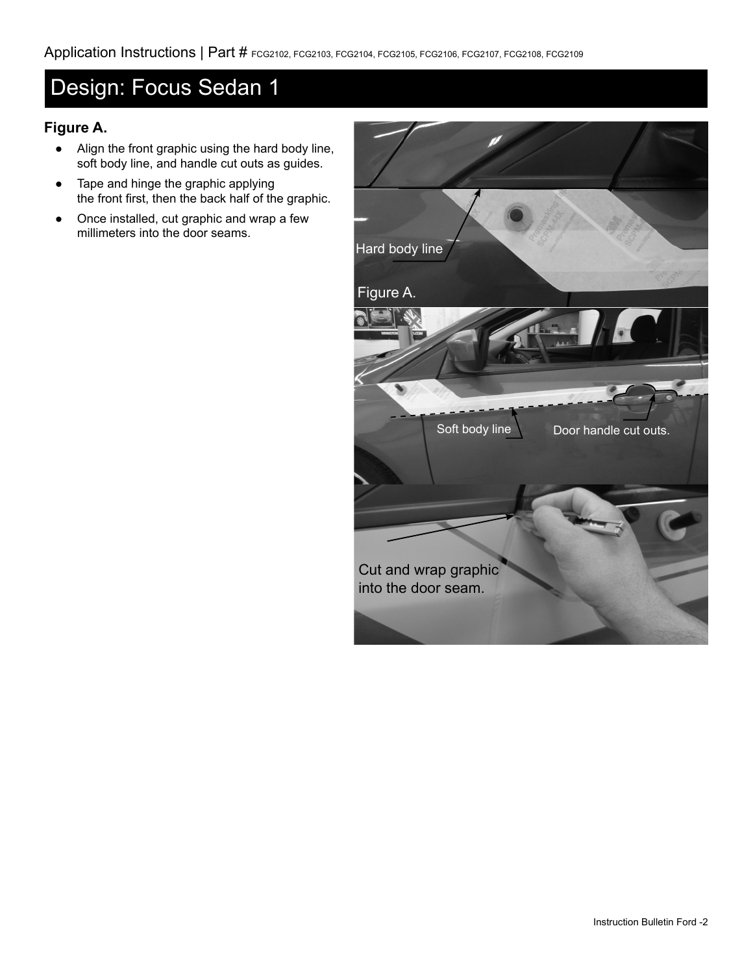## Design: Focus Sedan 1

## **Figure A.**

- Align the front graphic using the hard body line, soft body line, and handle cut outs as guides.
- Tape and hinge the graphic applying the front first, then the back half of the graphic.
- Once installed, cut graphic and wrap a few millimeters into the door seams.

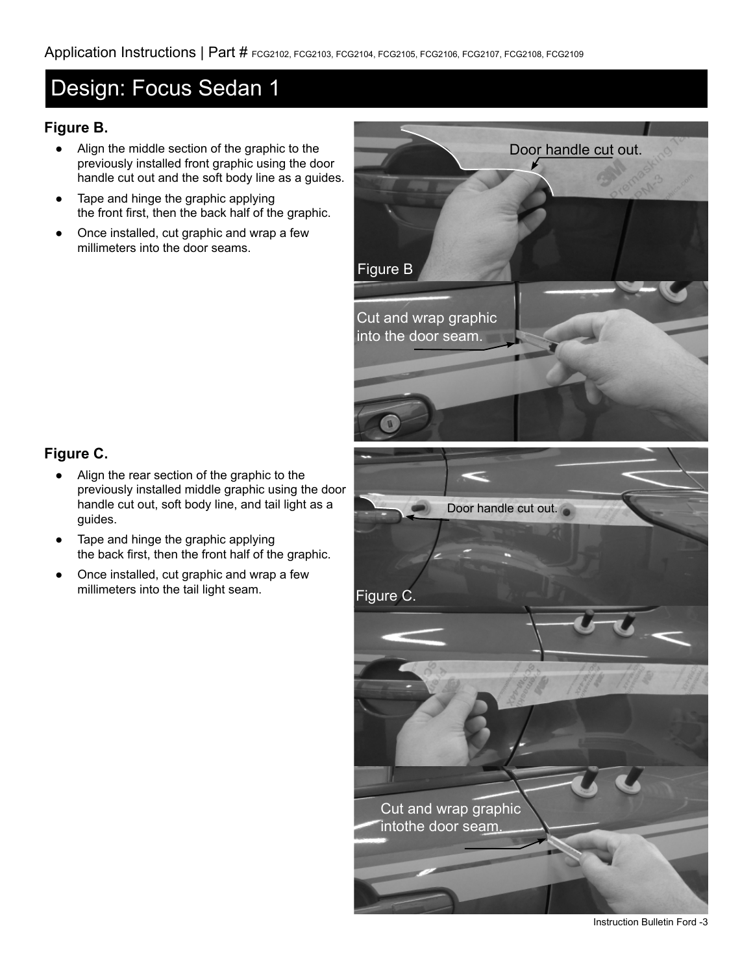## Design: Focus Sedan 1

### **Figure B.**

- Align the middle section of the graphic to the previously installed front graphic using the door handle cut out and the soft body line as a guides.
- Tape and hinge the graphic applying the front first, then the back half of the graphic.
- Once installed, cut graphic and wrap a few millimeters into the door seams.



## **Figure C.**

- Align the rear section of the graphic to the previously installed middle graphic using the door handle cut out, soft body line, and tail light as a guides.
- Tape and hinge the graphic applying the back first, then the front half of the graphic.
- Once installed, cut graphic and wrap a few millimeters into the tail light seam.

Instruction Bulletin Ford -3